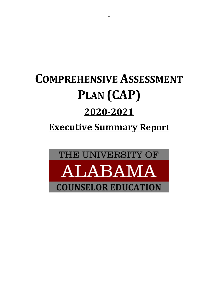# **COMPREHENSIVE ASSESSMENT PLAN (CAP) 2020-2021 Executive Summary Report**

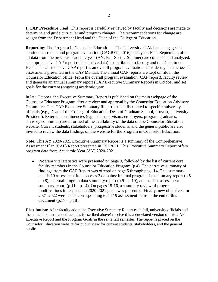**I. CAP Procedure Used:** This report is carefully reviewed by faculty and decisions are made to determine and guide curricular and program changes. The recommendations for change are sought from the Department Head and the Dean of the College of Education.

**Reporting:** The Program in Counselor Education at The University of Alabama engages in continuous student and program evaluation (CACREP, 2016) each year. Each September, after all data from the previous academic year (AY; Fall-Spring-Summer) are collected and analyzed, a comprehensive CAP report (all-inclusive data) is distributed to faculty and the Department Head. This all-inclusive CAP report is an overall program evaluation, considering data across all assessments presented in the CAP Manual. The annual CAP reports are kept on file in the Counselor Education office. From the overall program evaluation (CAP report), faculty review and generate an annual summary report (CAP Executive Summary Report) in October and set goals for the current (ongoing) academic year.

In late October, the Executive Summary Report is published on the main webpage of the Counselor Educator Program after a review and approval by the Counselor Education Advisory Committee. This CAP Executive Summary Report is then distributed to specific university officials (e.g., Dean of the College of Education, Dean of Graduate School, Provost, University President). External constituencies (e.g., site supervisors, employers, program graduates, advisory committee) are informed of the availability of the data on the Counselor Education website. Current students, stakeholders, prospective students, and the general public are also invited to review the data findings on the website for the Program in Counselor Education.

**Note:** This AY 2020-2021 Executive Summary Report is a summary of the Comprehensive Assessment Plan (CAP) Report presented in Fall 2021. This Executive Summary Report offers program data from Academic Year (AY) 2020-2021.

• Program vital statistics were presented on page 3, followed by the list of current core faculty members in the Counselor Education Program (p.4). The narrative summary of findings from the CAP Report was offered on page 5 through page 14. This summary entails 19 assessment items across 3 domains: internal program data summary report (p.5  $-$  p.8), external program data summary report (p.9 – p.10), and student assessment summary report  $(p.11 - p.14)$ . On pages 15-16, a summary review of program modifications in response to 2020-2021 goals was presented. Finally, new objectives for 2021-2022 were listed corresponding to all 19 assessment items at the end of this document  $(p.17 - p.18)$ .

**Distribution:** After faculty adopt the Executive Summary Report each fall, university officials and the named external constituencies (described above) receive this abbreviated version of this CAP Executive Report and the Program Goals in the same fall semester. The report is placed on the Counselor Education website for public view for current students, stakeholders, and the general public.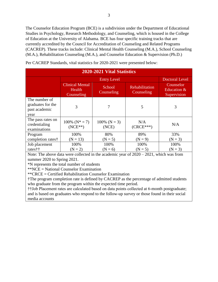The Counselor Education Program (BCE) is a subdivision under the Department of Educational Studies in Psychology, Research Methodology, and Counseling, which is housed in the College of Education at the University of Alabama. BCE has four specific training tracks that are currently accredited by the Council for Accreditation of Counseling and Related Programs (CACREP). These tracks include: Clinical Mental Health Counseling (M.A.), School Counseling (M.A.), Rehabilitation Counseling (M.A.), and Counselor Education & Supervision (Ph.D.)

| 2020-2021 Vital Statistics                                  |                                                |                          |                              |                                         |
|-------------------------------------------------------------|------------------------------------------------|--------------------------|------------------------------|-----------------------------------------|
|                                                             |                                                | Doctoral Level           |                              |                                         |
|                                                             | <b>Clinical Mental</b><br>Health<br>Counseling | School<br>Counseling     | Rehabilitation<br>Counseling | Counselor<br>Education &<br>Supervision |
| The number of<br>graduates for the<br>past academic<br>year | 3                                              | 7                        | 5                            | 3                                       |
| The pass rates on<br>credentialing<br>examinations          | $100\%$ (N <sup>*</sup> = 7)<br>$(NCE**)$      | $100\%$ (N = 3)<br>(NCE) | N/A<br>$(CRCE***)$           | N/A                                     |
| Program                                                     | 100%                                           | 80%                      | 89%                          | 33%                                     |
| completion rates†                                           | $(N = 13)$                                     | $(N = 5)$                | $(N = 9)$                    | $(N = 3)$                               |
| Job placement                                               | 100%                                           | 100%                     | 100%                         | 100%                                    |
| rates††                                                     | $(N = 2)$                                      | $(N = 6)$                | $(N = 5)$                    | $(N = 3)$                               |

Per CACREP Standards, vital statistics for 2020-2021 were presented below:

Note: The above data were collected in the academic year of 2020 – 2021, which was from summer 2020 to Spring 2021.

\*N represents the total number of students

\*\*NCE = National Counselor Examination

\*\*CRCE = Certified Rehabilitation Counselor Examination

†The program completion rate is defined by CACREP as the percentage of admitted students who graduate from the program within the expected time period.

††Job Placement rates are calculated based on data points collected at 6-month postgraduate; and is based on graduates who respond to the follow-up survey or those found in their social media accounts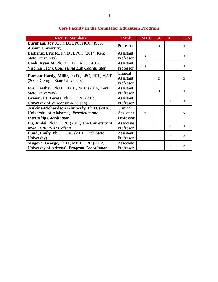| <b>Faculty Members</b>                           | <b>Rank</b> | <b>CMHC</b>  | <b>SC</b>    | <b>RC</b>    | <b>CE&amp;S</b> |
|--------------------------------------------------|-------------|--------------|--------------|--------------|-----------------|
| Burnham, Joy J., Ph.D., LPC, NCC (1995,          |             |              |              |              |                 |
| Auburn University).                              | Professor   |              | $\mathbf{X}$ |              | $\mathbf{X}$    |
| Baltrinic, Eric R., Ph.D., LPCC (2014, Kent      | Assistant   |              |              |              |                 |
| State University).                               | Professor   | $\mathbf{X}$ |              |              | $\mathbf{X}$    |
| Cook, Ryan M. Ph. D., LPC, ACS (2016,            | Assistant   |              |              |              |                 |
| Virginia Tech). Counseling Lab Coordinator       | Professor   | X            |              |              | X               |
| Dawson-Hardy, Millie, Ph.D., LPC, RPT, MAT       | Clinical    |              |              |              |                 |
| (2000, Georgia State University)                 | Assistant   |              | $\mathbf{X}$ |              | X               |
|                                                  | Professor   |              |              |              |                 |
| Fye, Heather, Ph.D., LPCC, NCC (2016, Kent       | Assistant   |              | $\mathbf{x}$ |              |                 |
| State University)                                | Professor   |              |              |              | $\mathbf{X}$    |
| Grenawalt, Teresa, Ph.D., CRC (2019,             | Assistant   |              |              |              | $\mathbf{X}$    |
| University of Wisconsin-Madison).                | Professor   |              |              | X            |                 |
| <b>Jenkins-Richardson Kimberly, Ph.D. (2018,</b> | Clinical    |              |              |              |                 |
| University of Alabama). Practicum and            | Assistant   | $\mathbf{X}$ |              |              | X               |
| <b>Internship Coordinator</b>                    | Professor   |              |              |              |                 |
| Lu, Junfei, Ph.D., CRC (2014, The University of  | Associate   |              |              |              |                 |
| Iowa). CACREP Liaison                            | Professor   |              |              | $\mathbf{x}$ | $\mathbf{x}$    |
| Lund, Emily, Ph.D., CRC (2016, Utah State        | Assistant   |              |              |              |                 |
| University)                                      | Professor   |              |              | X            | X               |
| Mugoya, George, Ph.D., MPH, CRC (2012,           | Associate   |              |              |              |                 |
| University of Arizona). Program Coordinator      | Professor   |              |              | X            | X               |

# **Core Faculty in the Counselor Education Program**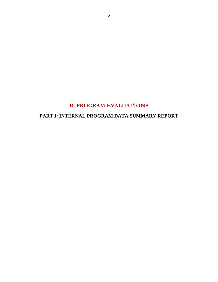# **B: PROGRAM EVALUATIONS**

#### **PART I: INTERNAL PROGRAM DATA SUMMARY REPORT**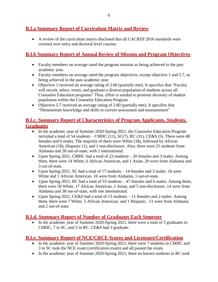## **B.I.a Summary Report of Curriculum Matrix and Review**

 A review of the curriculum matrix disclosed that all CACREP 2016 standards were covered over entry and doctoral level courses.

#### **B.I.b Summary Report of Annual Review of Mission and Program Objectives**

- Faculty members on average rated the program mission as being achieved in the past academic year.
- Faculty members on average rated the program objectives, except objective 1 and 5.7, as being achieved in the past academic year.
- Objective 1 received an average rating of 2.60 (partially met). It specifies that "Faculty will recruit, select, retain, and graduate a diverse population of students across all Counselor Education programs" Thus, effort is needed to promote diversity of student population within the Counselor Education Program
- Objective 5.7 received an average rating of 2.80 (partially met). It specifies that "Demonstrate knowledge and skills in current assessment and measurement"

#### **B.I.c. Summary Report of Characteristics of Program Applicants, Students, Graduates**

- In the academic year of Summer 2020-Spring 2021, the Counselor Education Program recruited a total of 54 students – CMHC  $(11)$ , SC $(7)$ , RC $(31)$ , CE&S $(5)$ . There were 48 females and 6 males. The majority of them were White (34), followed by African American (18), Hispanic (1), and 1 non-disclosure. Also, there were 25 students from Alabama and 28 out-of-state, with 1 international.
- Upon Spring 2021, CMHC had a total of 23 students 20 females and 3 males. Among them, there were 14 White, 6 African American, and 1 Asian. 20 were from Alabama and 3 out-of-state.
- Upon Spring 2021, SC had a total of 17 students  $-14$  females and 3 males. 16 were White and 1 African American. 16 were from Alabama, 1 out-of-state.
- Upon Spring 2021, RC had a total of 53 students 47 females and 6 males. Among them, there were 30 White, 17 African American, 1 Asian, and 5 non-disclosure. 14 were from Alabama and 38 out-of-state, with one international.
- Upon Spring 2021, CE&S had a total of 13 students 11 females and 2 males. Among them, there were 7 White, 5 African American, and 1 Hispanic. 11 were from Alabama and 2 out-of-state.

#### **B.I.d. Summary Report of Number of Graduates Each Semester**

• In the academic year of Summer 2020-Spring 2021, there were a total of 3 graduates in CMHC, 7 in SC, and 5 in RC. CE&S had 3 graduate.

#### **B.I.e. Summary Report of NCE/CRCE Scores and Licensure/Certification**

- In the academic year of Summer 2020-Spring 2021, there were 7 students in CMHC and 3 in SC took the NCE exam (certification exam) and all passed the exam.
- In the academic year of Summer 2020-Spring 2021, there no known students in RC took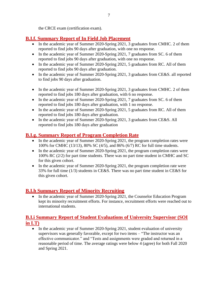the CRCE exam (certification exam).

## **B.I.f. Summary Report of In Field Job Placement**

- In the academic year of Summer 2020-Spring 2021, 3 graduates from CMHC. 2 of them reported to find jobs 90 days after graduation, with one no response.
- In the academic year of Summer 2020-Spring 2021, 7 graduates from SC. 6 of them reported to find jobs 90 days after graduation, with one no response.
- In the academic year of Summer 2020-Spring 2021, 5 graduates from RC. All of them reported to find jobs 90 days after graduation.
- In the academic year of Summer 2020-Spring 2021, 3 graduates from CE&S. all reported to find jobs 90 days after graduation.
- In the academic year of Summer 2020-Spring 2021, 3 graduates from CMHC. 2 of them reported to find jobs 180 days after graduation, with 6 no response.
- In the academic year of Summer 2020-Spring 2021, 7 graduates from SC. 6 of them reported to find jobs 180 days after graduation, with 1 no response.
- In the academic year of Summer 2020-Spring 2021, 5 graduates from RC. All of them reported to find jobs 180 days after graduation.
- In the academic year of Summer 2020-Spring 2021, 3 graduates from CE&S. All reported to find jobs 180 days after graduation

# **B.I.g. Summary Report of Program Completion Rate**

- In the academic year of Summer 2020-Spring 2021, the program completion rates were 100% for CMHC (13/13), 80% SC (4/5), and 86% (6/7) RC for full time students.
- In the academic year of Summer 2020-Spring 2021, the program completion rates were 100% RC (2/2) for part time students. There was no part time student in CMHC and SC for this given cohort.
- In the academic year of Summer 2020-Spring 2021, the program completion rate were 33% for full time (1/3) students in CE&S. There was no part time student in CE&S for this given cohort.

## **B.I.h Summary Report of Minority Recruiting**

• In the academic year of Summer 2020-Spring 2021, the Counselor Education Program kept its minority recruitment efforts. For instance, recruitment efforts were reached out to international students.

## **B.I.i Summary Report of Student Evaluations of University Supervisor (SOI in LT)**

• In the academic year of Summer 2020-Spring 2021, student evaluation of university supervisors was generally favorable, except for two items – "The instructor was an effective communicator." and "Tests and assignments were graded and returned in a reasonable period of time. The average ratings were below 4 (agree) for both Fall 2020 and Spring 2021.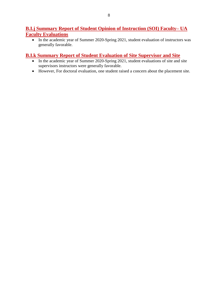#### **B.I.j Summary Report of Student Opinion of Instruction (SOI) Faculty– UA Faculty Evaluations**

• In the academic year of Summer 2020-Spring 2021, student evaluation of instructors was generally favorable.

#### **B.I.k Summary Report of Student Evaluation of Site Supervisor and Site**

- In the academic year of Summer 2020-Spring 2021, student evaluations of site and site supervisors instructors were generally favorable.
- However, For doctoral evaluation, one student raised a concern about the placement site.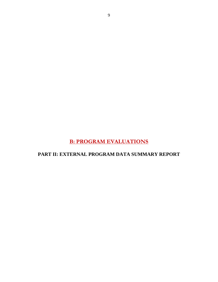**B: PROGRAM EVALUATIONS**

**PART II: EXTERNAL PROGRAM DATA SUMMARY REPORT**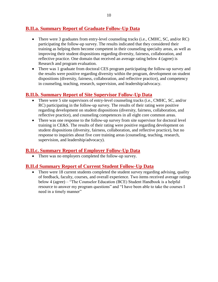## **B.II.a. Summary Report of Graduate Follow-Up Data**

- There were 3 graduates from entry-level counseling tracks (i.e., CMHC, SC, and/or RC) participating the follow-up survey. The results indicated that they considered their training as helping them become competent in their counseling specialty areas, as well as improving their student dispositions regarding diversity, fairness, collaboration, and reflective practice. One domain that received an average rating below 4 (agree) is Research and program evaluation.
- There was 1 graduate from doctoral CES program participating the follow-up survey and the results were positive regarding diversity within the program, development on student dispositions (diversity, fairness, collaboration, and reflective practice), and competency in counseling, teaching, research, supervision, and leadership/advocacy.

#### **B.II.b. Summary Report of Site Supervisor Follow-Up Data**

- There were 5 site supervisors of entry-level counseling tracks (i.e., CMHC, SC, and/or RC) participating in the follow-up survey. The results of their rating were positive regarding development on student dispositions (diversity, fairness, collaboration, and reflective practice), and counseling competences in all eight core common areas.
- There was one response to the follow-up survey from site supervisor for doctoral level training in CE&S. The results of their rating were positive regarding development on student dispositions (diversity, fairness, collaboration, and reflective practice), but no response to inquiries about five core training areas (counseling, teaching, research, supervision, and leadership/advocacy).

#### **B.II.c. Summary Report of Employer Follow-Up Data**

• There was no employers completed the follow-up survey.

#### **B.II.d Summary Report of Current Student Follow-Up Data**

• There were 18 current students completed the student survey regarding advising, quality of feedback, faculty, courses, and overall experience. Two items received average ratings below 4 (agree) – "The Counselor Education (BCE) Student Handbook is a helpful resource to answer my program questions" and "I have been able to take the courses I need in a timely manner"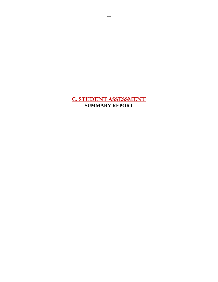# **C. STUDENT ASSESSMENT SUMMARY REPORT**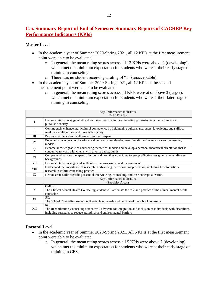#### **C.a. Summary Report of End of Semester Summary Reports of CACREP Key Performance Indicators (KPIs)**

#### **Master Level**

- In the academic year of Summer 2020-Spring 2021, all 12 KPIs at the first measurement point were able to be evaluated.
	- o In general, the mean rating scores across all 12 KPIs were above 2 (developing), which met the minimum expectation for students who were at their early stage of training in counseling.
	- o There was no student receiving a rating of "1" (unacceptable).
- In the academic year of Summer 2020-Spring 2021, all 12 KPIs at the second measurement point were able to be evaluated.
	- o In general, the mean rating scores across all KPIs were at or above 3 (target), which met the minimum expectation for students who were at their later stage of training in counseling.

|             | Key Performance Indicators                                                                                                                                                                          |
|-------------|-----------------------------------------------------------------------------------------------------------------------------------------------------------------------------------------------------|
|             | (MASTER'S)                                                                                                                                                                                          |
| I           | Demonstrate knowledge of ethical and legal practice in the counseling profession in a multicultural and<br>pluralistic society                                                                      |
| $\Pi$       | Continuously enhance multicultural competence by heightening cultural awareness, knowledge, and skills to<br>work in a multicultural and pluralistic society                                        |
| III         | Promote resilience and wellness across the lifespan                                                                                                                                                 |
| IV          | Become knowledgeable of various and current career development theories and relevant career counseling<br>models                                                                                    |
| V           | Become knowledgeable of counseling theoretical models and develop a personal theoretical orientation that is<br>conducive to work with clients with diverse backgrounds                             |
| VI          | Comprehend various therapeutic factors and how they contribute to group effectiveness given clients' diverse<br>backgrounds                                                                         |
| VII         | Demonstrate knowledge and skills in current assessment and measurement                                                                                                                              |
| <b>VIII</b> | Understand the importance of research in advancing the counseling profession, including how to critique<br>research to inform counseling practice                                                   |
| IX          | Demonstrate skills regarding essential interviewing, counseling, and case conceptualization.                                                                                                        |
|             | Key Performance Indicators                                                                                                                                                                          |
|             | (Specialty Areas)                                                                                                                                                                                   |
| X           | CMHC:<br>The Clinical Mental Health Counseling student will articulate the role and practice of the clinical mental health<br>counselor                                                             |
| XI          | SC:<br>The School Counseling student will articulate the role and practice of the school counselor                                                                                                  |
| XII         | RC:<br>The Rehabilitation Counseling student will advocate for integration and inclusion of individuals with disabilities,<br>including strategies to reduce attitudinal and environmental barriers |

#### **Doctoral Level**

- In the academic year of Summer 2020-Spring 2021, All 5 KPIs at the first measurement point were able to be evaluated.
	- o In general, the mean rating scores across all 5 KPIs were above 2 (developing), which met the minimum expectation for students who were at their early stage of training in CES.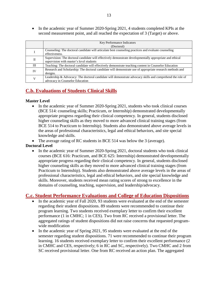• In the academic year of Summer 2020-Spring 2021, 4 students completed KPIs at the second measurement point, and all reached the expectation of 3 (Target) or above.

|           | Key Performance Indicators                                                                                |
|-----------|-----------------------------------------------------------------------------------------------------------|
|           | (Doctoral)                                                                                                |
|           | Counseling: The doctoral candidate will articulate best counseling practices and evaluate counseling      |
|           | effectiveness.                                                                                            |
| П         | Supervision: The doctoral candidate will effectively demonstrate developmentally appropriate and ethical  |
|           | supervision with master's level students                                                                  |
| Ш         | Teaching: The doctoral candidate will effectively demonstrate teaching content in Counselor Education     |
| <b>IV</b> | Research and Scholarship: The doctoral candidate will demonstrate use of appropriate research methods and |
|           | designs.                                                                                                  |
| V         | Leadership & Advocacy: The doctoral candidate will demonstrate advocacy skills and comprehend the role of |
|           | advocacy in Counselor Education                                                                           |

## **C.b. Evaluations of Students Clinical Skills**

#### **Master Level**

• In the academic year of Summer 2020-Spring 2021, students who took clinical courses (BCE 514: counseling skills; Practicum, or Internship) demonstrated developmentally appropriate progress regarding their clinical competency. In general, students disclosed higher counseling skills as they moved to more advanced clinical training stages (from BCE 514 to Practicum to Internship). Students also demonstrated above average levels in the areas of professional characteristics, legal and ethical behaviors, and site special knowledge and skills.

• The average rating of RC students in BCE 514 was below the 3 (average).

#### **Doctoral Level**

• In the academic year of Summer 2020-Spring 2021, doctoral students who took clinical courses (BCE 616: Practicum, and BCE 625: Internship) demonstrated developmentally appropriate progress regarding their clinical competency. In general, students disclosed higher counseling skills as they moved to more advanced clinical training stages (from Practicum to Internship). Students also demonstrated above average levels in the areas of professional characteristics, legal and ethical behaviors, and site special knowledge and skills. Moreover, students received mean rating scores of strong to excellence in the domains of counseling, teaching, supervision, and leadership/advocacy.

#### **C.c. Student Performance Evaluations and College of Education Dispositions**

- In the academic year of Fall 2020, 93 students were evaluated at the end of the semester regarding their student dispositions. 89 students were recommended to continue their program learning. Two students received exemplary letter to confirm their excellent performance (1 in CMHC; 1 in CES). Two from RC received a provisional letter. The aggregated ratings of student dispositions did not raise concerns that requested programwide modification
- In the academic year of Spring 2021, 95 students were evaluated at the end of the semester regarding student dispositions. 71 were recommended to continue their program learning. 16 students received exemplary letter to confirm their excellent performance (2 in CMHC and CES, respectively; 6 in RC and SC, respectively). Two CMHC and 2 from SC received provisional letter. One from RC received an action plan. The aggregated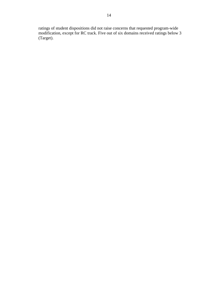ratings of student dispositions did not raise concerns that requested program-wide modification, except for RC track. Five out of six domains received ratings below 3 (Target).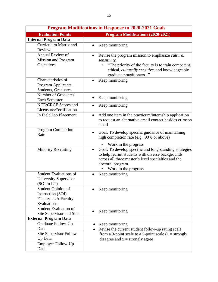| <b>Program Modifications in Response to 2020-2021 Goals</b>                                      |                                                                                                                                                                                                                              |  |  |
|--------------------------------------------------------------------------------------------------|------------------------------------------------------------------------------------------------------------------------------------------------------------------------------------------------------------------------------|--|--|
| <b>Evaluation Points</b>                                                                         | <b>Program Modifications (2020-2021)</b>                                                                                                                                                                                     |  |  |
| <b>Internal Program Data</b>                                                                     |                                                                                                                                                                                                                              |  |  |
| Curriculum Matrix and<br>Review                                                                  | Keep monitoring<br>$\bullet$                                                                                                                                                                                                 |  |  |
| Annual Review of<br><b>Mission and Program</b><br>Objectives                                     | Revise the program mission to emphasize <i>cultural</i><br>sensitivity.<br>"The priority of the faculty is to train competent,<br>ethical, culturally sensitive, and knowledgeable<br>graduate practitioners"                |  |  |
| Characteristics of<br>Program Applicants,<br>Students, Graduates                                 | Keep monitoring                                                                                                                                                                                                              |  |  |
| <b>Number of Graduates</b><br><b>Each Semester</b>                                               | Keep monitoring                                                                                                                                                                                                              |  |  |
| NCE/CRCE Scores and<br>Licensure/Certification                                                   | Keep monitoring                                                                                                                                                                                                              |  |  |
| In Field Job Placement                                                                           | Add one item in the practicum/internship application<br>$\bullet$<br>to request an alternative email contact besides crimson<br>email                                                                                        |  |  |
| Program Completion<br>Rate                                                                       | Goal: To develop specific guidance of maintaining<br>٠<br>high completion rate (e.g., 90% or above)<br>Work in the progress                                                                                                  |  |  |
| <b>Minority Recruiting</b>                                                                       | Goal: To develop specific and long-standing strategies<br>$\bullet$<br>to help recruit students with diverse backgrounds<br>across all three master's level specialties and the<br>doctoral program.<br>Work in the progress |  |  |
| <b>Student Evaluations of</b><br>University Supervisor<br>(SOI in LT)                            | Keep monitoring                                                                                                                                                                                                              |  |  |
| Student Opinion of<br><b>Instruction (SOI)</b><br>Faculty– UA Faculty<br>Evaluations             | Keep monitoring                                                                                                                                                                                                              |  |  |
| <b>Student Evaluation of</b><br>Site Supervisor and Site                                         | Keep monitoring                                                                                                                                                                                                              |  |  |
| <b>External Program Data</b><br>Graduate Follow-Up<br>Data<br>Site Supervisor Follow-<br>Up Data | Keep monitoring<br>Revise the current student follow-up rating scale<br>from a 3-point scale to a 5-point scale $(1 = \text{strongly})$<br>disagree and $5 =$ strongly agree)                                                |  |  |
| Employer Follow-Up<br>Data                                                                       |                                                                                                                                                                                                                              |  |  |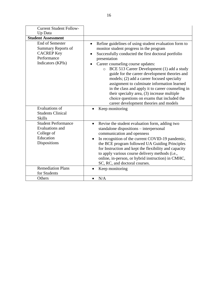| <b>Current Student Follow-</b><br>Up Data                                                                    |                                                                                                                                                                                                                                                                                                                                                                                                                                                                                                                                                                                                                               |
|--------------------------------------------------------------------------------------------------------------|-------------------------------------------------------------------------------------------------------------------------------------------------------------------------------------------------------------------------------------------------------------------------------------------------------------------------------------------------------------------------------------------------------------------------------------------------------------------------------------------------------------------------------------------------------------------------------------------------------------------------------|
| <b>Student Assessment</b>                                                                                    |                                                                                                                                                                                                                                                                                                                                                                                                                                                                                                                                                                                                                               |
| <b>End of Semester</b><br><b>Summary Reports of</b><br><b>CACREP Key</b><br>Performance<br>Indicators (KPIs) | Refine guidelines of using student evaluation form to<br>$\bullet$<br>monitor student progress in the program<br>Successfully conducted the first doctoral portfolio<br>presentation<br>Career counseling course updates:<br>BCE 513 Career Development (1) add a study<br>$\circ$<br>guide for the career development theories and<br>models; (2) add a career focused specialty<br>assignment to culminate information learned<br>in the class and apply it to career counseling in<br>their specialty area, (3) increase multiple<br>choice questions on exams that included the<br>career development theories and models |
| <b>Evaluations of</b><br><b>Students Clinical</b><br><b>Skills</b>                                           | Keep monitoring                                                                                                                                                                                                                                                                                                                                                                                                                                                                                                                                                                                                               |
| <b>Student Performance</b><br>Evaluations and<br>College of<br>Education<br>Dispositions                     | Revise the student evaluation form, adding two<br>$\bullet$<br>standalone dispositions - interpersonal<br>communication and openness<br>In recognition of the current COVID-19 pandemic,<br>the BCE program followed UA Guiding Principles<br>for Instruction and kept the flexibility and capacity<br>to apply various course delivery methods (i.e.,<br>online, in-person, or hybrid instruction) in CMHC,<br>SC, RC, and doctoral courses.                                                                                                                                                                                 |
| <b>Remediation Plans</b><br>for Students                                                                     | Keep monitoring                                                                                                                                                                                                                                                                                                                                                                                                                                                                                                                                                                                                               |
| Others                                                                                                       | N/A                                                                                                                                                                                                                                                                                                                                                                                                                                                                                                                                                                                                                           |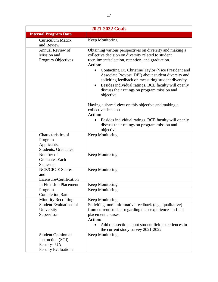| 2021-2022 Goals                                                                     |                                                                                                                                                                                                                                                                                                                                                                                                                                                                                  |  |
|-------------------------------------------------------------------------------------|----------------------------------------------------------------------------------------------------------------------------------------------------------------------------------------------------------------------------------------------------------------------------------------------------------------------------------------------------------------------------------------------------------------------------------------------------------------------------------|--|
| <b>Internal Program Data</b>                                                        |                                                                                                                                                                                                                                                                                                                                                                                                                                                                                  |  |
| <b>Curriculum Matrix</b><br>and Review                                              | Keep Monitoring                                                                                                                                                                                                                                                                                                                                                                                                                                                                  |  |
| <b>Annual Review of</b><br>Mission and<br>Program Objectives                        | Obtaining various perspectives on diversity and making a<br>collective decision on diversity related to student<br>recruitment/selection, retention, and graduation.<br><b>Action:</b><br>Contacting Dr. Christine Taylor (Vice President and<br>Associate Provost, DEI) about student diversity and<br>soliciting feedback on measuring student diversity.<br>Besides individual ratings, BCE faculty will openly<br>discuss their ratings on program mission and<br>objective. |  |
|                                                                                     | Having a shared view on this objective and making a<br>collective decision<br><b>Action:</b><br>Besides individual ratings, BCE faculty will openly<br>discuss their ratings on program mission and<br>objective.                                                                                                                                                                                                                                                                |  |
| Characteristics of<br>Program<br>Applicants,<br>Students, Graduates                 | Keep Monitoring                                                                                                                                                                                                                                                                                                                                                                                                                                                                  |  |
| Number of<br><b>Graduates Each</b><br>Semester                                      | Keep Monitoring                                                                                                                                                                                                                                                                                                                                                                                                                                                                  |  |
| <b>NCE/CRCE Scores</b><br>and<br>Licensure/Certification                            | Keep Monitoring                                                                                                                                                                                                                                                                                                                                                                                                                                                                  |  |
| In Field Job Placement                                                              | Keep Monitoring                                                                                                                                                                                                                                                                                                                                                                                                                                                                  |  |
| Program<br><b>Completion Rate</b>                                                   | Keep Monitoring                                                                                                                                                                                                                                                                                                                                                                                                                                                                  |  |
| <b>Minority Recruiting</b>                                                          | Keep Monitoring                                                                                                                                                                                                                                                                                                                                                                                                                                                                  |  |
| <b>Student Evaluations of</b><br>University<br>Supervisor                           | Soliciting more informative feedback (e.g., qualitative)<br>from current student regarding their experiences in field<br>placement courses.<br><b>Action:</b><br>Add one section about student field experiences in<br>the current study survey 2021-2022.                                                                                                                                                                                                                       |  |
| Student Opinion of<br>Instruction (SOI)<br>Faculty-UA<br><b>Faculty Evaluations</b> | Keep Monitoring                                                                                                                                                                                                                                                                                                                                                                                                                                                                  |  |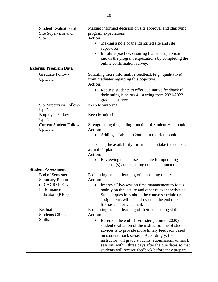| <b>Student Evaluation of</b>       | Making informed decision on site approval and clarifying     |
|------------------------------------|--------------------------------------------------------------|
| Site Supervisor and                | program expectations                                         |
| Site                               | <b>Action:</b>                                               |
|                                    | Making a note of the identified site and site<br>supervisor. |
|                                    | In future practice, ensuring that site supervisor            |
|                                    | knows the program expectations by completing the             |
|                                    | online confirmation survey.                                  |
| <b>External Program Data</b>       |                                                              |
| <b>Graduate Follow-</b>            | Soliciting more informative feedback (e.g., qualitative)     |
| Up Data                            | from graduates regarding this objective.                     |
|                                    | <b>Action:</b>                                               |
|                                    | Request students to offer qualitative feedback if            |
|                                    | their rating is below 4., starting from 2021-2022            |
|                                    | graduate survey                                              |
| Site Supervisor Follow-<br>Up Data | <b>Keep Monitoring</b>                                       |
| <b>Employer Follow-</b><br>Up Data | Keep Monitoring                                              |
| <b>Current Student Follow-</b>     | Strengthening the guiding function of Student Handbook       |
| Up Data                            | <b>Action:</b>                                               |
|                                    | Adding a Table of Content in the Handbook                    |
|                                    | Increasing the availability for students to take the courses |
|                                    | as in their plan<br><b>Action:</b>                           |
|                                    | Reviewing the course schedule for upcoming                   |
|                                    | semester(s) and adjusting course parameters.                 |
| <b>Student Assessment</b>          |                                                              |
| <b>End of Semester</b>             | Facilitating student learning of counseling theory           |
| <b>Summary Reports</b>             | <b>Action:</b>                                               |
| of CACREP Key                      | • Improve Live-session time management to focus              |
| Performance                        | mainly on the lecture and other relevant activities.         |
| Indicators (KPIs)                  | Student questions about the course schedule or               |
|                                    | assignments will be addressed at the end of each             |
|                                    | live session or via email.                                   |
| Evaluations of                     | Facilitating student learning of their counseling skills     |
| <b>Students Clinical</b>           | <b>Action:</b>                                               |
| <b>Skills</b>                      | Based on the end-of-semester (summer 2020)<br>$\bullet$      |
|                                    | student evaluation of the instructor, one of student         |
|                                    | advices is to provide more timely feedback based             |
|                                    | on student mock session. Accordingly, the                    |
|                                    | instructor will grade students' submissions of mock          |
|                                    | sessions within three days after the due dates so that       |
|                                    | students will receive feedback before they prepare           |